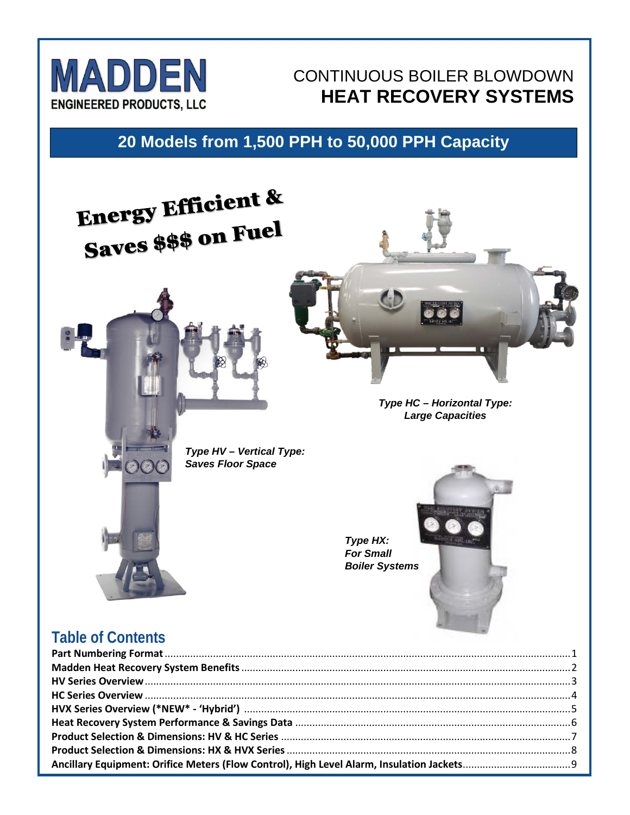

# CONTINUOUS BOILER BLOWDOWN **HEAT RECOVERY SYSTEMS**

# **20 Models from 1,500 PPH to 50,000 PPH Capacity**



### **Table of Contents**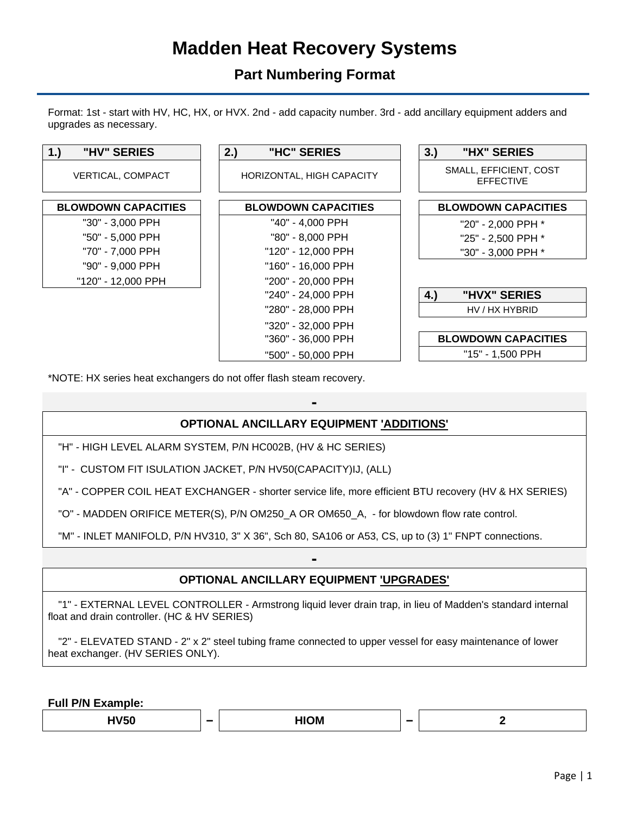# **Madden Heat Recovery Systems**

### **Part Numbering Format**

Format: 1st - start with HV, HC, HX, or HVX. 2nd - add capacity number. 3rd - add ancillary equipment adders and upgrades as necessary.



\*NOTE: HX series heat exchangers do not offer flash steam recovery.

### **- OPTIONAL ANCILLARY EQUIPMENT 'ADDITIONS'**

"H" - HIGH LEVEL ALARM SYSTEM, P/N HC002B, (HV & HC SERIES)

"I" - CUSTOM FIT ISULATION JACKET, P/N HV50(CAPACITY)IJ, (ALL)

"A" - COPPER COIL HEAT EXCHANGER - shorter service life, more efficient BTU recovery (HV & HX SERIES)

"O" - MADDEN ORIFICE METER(S), P/N OM250\_A OR OM650\_A, - for blowdown flow rate control.

"M" - INLET MANIFOLD, P/N HV310, 3" X 36", Sch 80, SA106 or A53, CS, up to (3) 1" FNPT connections.

### **- OPTIONAL ANCILLARY EQUIPMENT 'UPGRADES'**

"1" - EXTERNAL LEVEL CONTROLLER - Armstrong liquid lever drain trap, in lieu of Madden's standard internal float and drain controller. (HC & HV SERIES)

"2" - ELEVATED STAND - 2" x 2" steel tubing frame connected to upper vessel for easy maintenance of lower heat exchanger. (HV SERIES ONLY).

**Full P/N Example:**

**HV50 − HIOM − 2**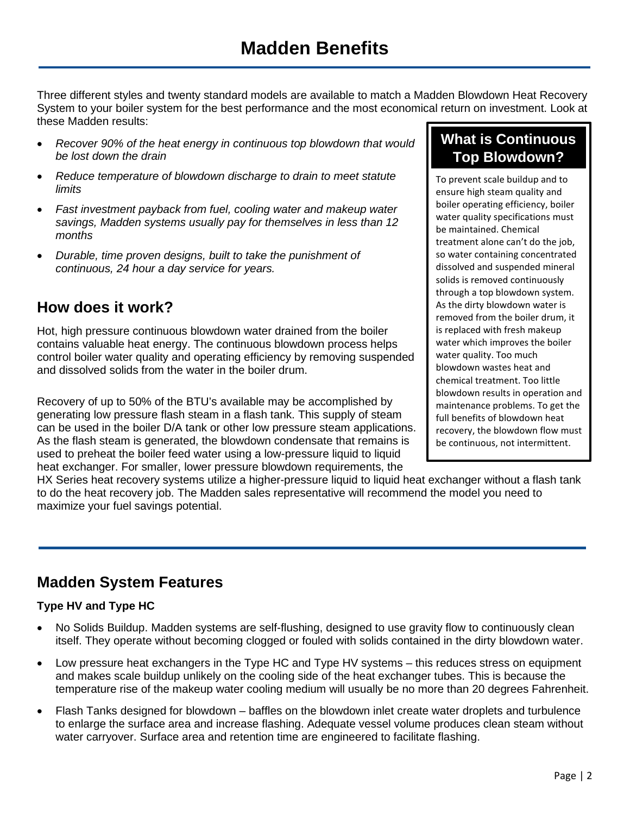Three different styles and twenty standard models are available to match a Madden Blowdown Heat Recovery System to your boiler system for the best performance and the most economical return on investment. Look at these Madden results:

- *Recover 90% of the heat energy in continuous top blowdown that would be lost down the drain*
- *Reduce temperature of blowdown discharge to drain to meet statute limits*
- *Fast investment payback from fuel, cooling water and makeup water savings, Madden systems usually pay for themselves in less than 12 months*
- *Durable, time proven designs, built to take the punishment of continuous, 24 hour a day service for years.*

### **How does it work?**

Hot, high pressure continuous blowdown water drained from the boiler contains valuable heat energy. The continuous blowdown process helps control boiler water quality and operating efficiency by removing suspended and dissolved solids from the water in the boiler drum.

Recovery of up to 50% of the BTU's available may be accomplished by generating low pressure flash steam in a flash tank. This supply of steam can be used in the boiler D/A tank or other low pressure steam applications. As the flash steam is generated, the blowdown condensate that remains is used to preheat the boiler feed water using a low-pressure liquid to liquid heat exchanger. For smaller, lower pressure blowdown requirements, the

HX Series heat recovery systems utilize a higher-pressure liquid to liquid heat exchanger without a flash tank to do the heat recovery job. The Madden sales representative will recommend the model you need to maximize your fuel savings potential.

### **Madden System Features**

#### **Type HV and Type HC**

- No Solids Buildup. Madden systems are self-flushing, designed to use gravity flow to continuously clean itself. They operate without becoming clogged or fouled with solids contained in the dirty blowdown water.
- Low pressure heat exchangers in the Type HC and Type HV systems this reduces stress on equipment and makes scale buildup unlikely on the cooling side of the heat exchanger tubes. This is because the temperature rise of the makeup water cooling medium will usually be no more than 20 degrees Fahrenheit.
- Flash Tanks designed for blowdown baffles on the blowdown inlet create water droplets and turbulence to enlarge the surface area and increase flashing. Adequate vessel volume produces clean steam without water carryover. Surface area and retention time are engineered to facilitate flashing.

### **What is Continuous Top Blowdown?**

To prevent scale buildup and to ensure high steam quality and boiler operating efficiency, boiler water quality specifications must be maintained. Chemical treatment alone can't do the job, so water containing concentrated dissolved and suspended mineral solids is removed continuously through a top blowdown system. As the dirty blowdown water is removed from the boiler drum, it is replaced with fresh makeup water which improves the boiler water quality. Too much blowdown wastes heat and chemical treatment. Too little blowdown results in operation and maintenance problems. To get the full benefits of blowdown heat recovery, the blowdown flow must be continuous, not intermittent.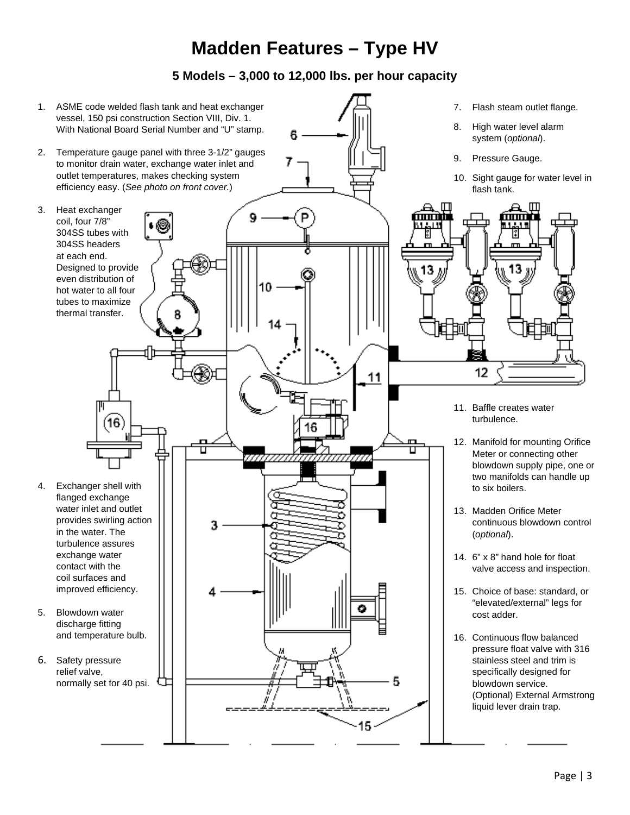# **Madden Features – Type HV**

**5 Models – 3,000 to 12,000 lbs. per hour capacity**

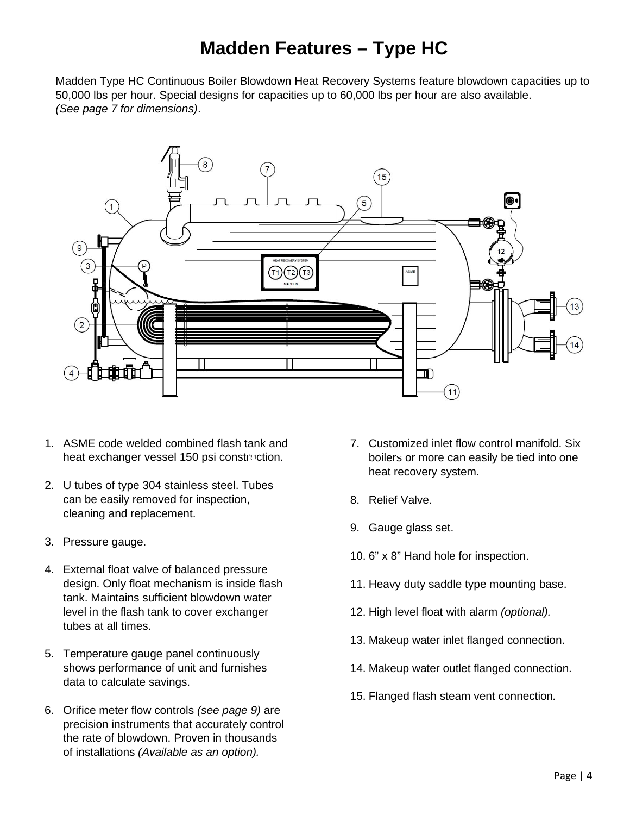# **Madden Features – Type HC**

Madden Type HC Continuous Boiler Blowdown Heat Recovery Systems feature blowdown capacities up to 50,000 lbs per hour. Special designs for capacities up to 60,000 lbs per hour are also available. *(See page 7 for dimensions)*.



- 1. ASME code welded combined flash tank and heat exchanger vessel 150 psi construction.
- 2. U tubes of type 304 stainless steel. Tubes can be easily removed for inspection, cleaning and replacement.
- 3. Pressure gauge.
- 4. External float valve of balanced pressure design. Only float mechanism is inside flash tank. Maintains sufficient blowdown water level in the flash tank to cover exchanger tubes at all times.
- 5. Temperature gauge panel continuously shows performance of unit and furnishes data to calculate savings.
- 6. Orifice meter flow controls *(see page 9)* are precision instruments that accurately control the rate of blowdown. Proven in thousands of installations *(Available as an option).*
- 7. Customized inlet flow control manifold. Six boilers or more can easily be tied into one heat recovery system.
- 8. Relief Valve.
- 9. Gauge glass set.
- 10. 6" x 8" Hand hole for inspection.
- 11. Heavy duty saddle type mounting base.
- 12. High level float with alarm *(optional).*
- 13. Makeup water inlet flanged connection.
- 14. Makeup water outlet flanged connection.
- 15. Flanged flash steam vent connection*.*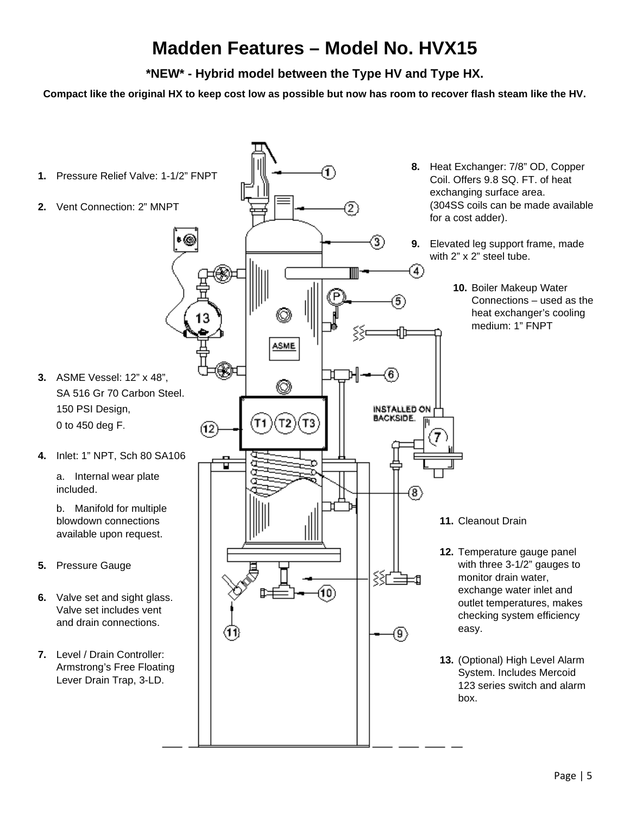# **Madden Features – Model No. HVX15**

**\*NEW\* - Hybrid model between the Type HV and Type HX.**

**Compact like the original HX to keep cost low as possible but now has room to recover flash steam like the HV.**

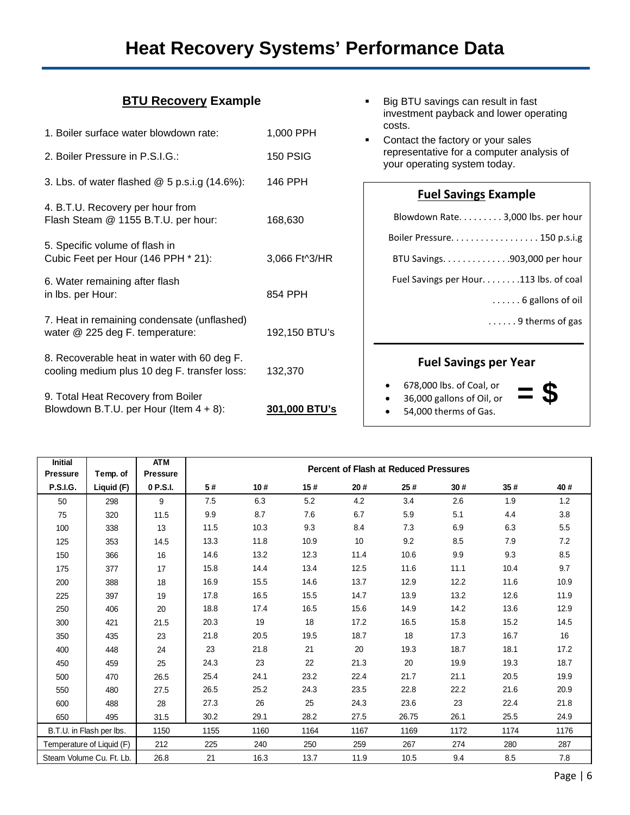# **Heat Recovery Systems' Performance Data**

#### **BTU Recovery Example**

| 1. Boiler surface water blowdown rate:                                                      | 1,000 PPH       |
|---------------------------------------------------------------------------------------------|-----------------|
| 2. Boiler Pressure in P.S.I.G.:                                                             | <b>150 PSIG</b> |
| 3. Lbs. of water flashed $@5p.s.i.g. (14.6%)$ :                                             | 146 PPH         |
| 4. B.T.U. Recovery per hour from<br>Flash Steam @ 1155 B.T.U. per hour:                     | 168,630         |
| 5. Specific volume of flash in<br>Cubic Feet per Hour (146 PPH * 21):                       | 3,066 Ft^3/HR   |
| 6. Water remaining after flash<br>in Ibs. per Hour:                                         | 854 PPH         |
| 7. Heat in remaining condensate (unflashed)<br>water @ 225 deg F. temperature:              | 192,150 BTU's   |
| 8. Recoverable heat in water with 60 deg F.<br>cooling medium plus 10 deg F. transfer loss: | 132,370         |
| 9. Total Heat Recovery from Boiler<br>Blowdown B.T.U. per Hour (Item $4 + 8$ ):             | 301,000 BTU's   |

- **Big BTU savings can result in fast** investment payback and lower operating costs.
- Contact the factory or your sales representative for a computer analysis of your operating system today.

#### **Fuel Savings Example**

| Blowdown Rate. 3,000 lbs. per hour      |  |  |  |  |  |  |
|-----------------------------------------|--|--|--|--|--|--|
| Boiler Pressure 150 p.s.i.g             |  |  |  |  |  |  |
| BTU Savings. 903,000 per hour           |  |  |  |  |  |  |
| Fuel Savings per Hour. 113 lbs. of coal |  |  |  |  |  |  |
| $\ldots \ldots$ 6 gallons of oil        |  |  |  |  |  |  |
| $\ldots$ 9 therms of gas                |  |  |  |  |  |  |
|                                         |  |  |  |  |  |  |
| <b>Fuel Savings per Year</b>            |  |  |  |  |  |  |
| $670.000 \text{ kg} \cdot \text{m}$     |  |  |  |  |  |  |

**= \$**

- 678,000 lbs. of Coal, or
- 36,000 gallons of Oil, or
- 54,000 therms of Gas.

| <b>Initial</b><br><b>Pressure</b> | Temp. of                  | <b>ATM</b><br><b>Pressure</b> | <b>Percent of Flash at Reduced Pressures</b> |      |      |      |       |      |      |      |
|-----------------------------------|---------------------------|-------------------------------|----------------------------------------------|------|------|------|-------|------|------|------|
| <b>P.S.I.G.</b>                   | Liquid (F)                | 0 P.S.I.                      | 5#                                           | 10#  | 15#  | 20#  | 25#   | 30#  | 35#  | 40#  |
| 50                                | 298                       | 9                             | 7.5                                          | 6.3  | 5.2  | 4.2  | 3.4   | 2.6  | 1.9  | 1.2  |
| 75                                | 320                       | 11.5                          | 9.9                                          | 8.7  | 7.6  | 6.7  | 5.9   | 5.1  | 4.4  | 3.8  |
| 100                               | 338                       | 13                            | 11.5                                         | 10.3 | 9.3  | 8.4  | 7.3   | 6.9  | 6.3  | 5.5  |
| 125                               | 353                       | 14.5                          | 13.3                                         | 11.8 | 10.9 | 10   | 9.2   | 8.5  | 7.9  | 7.2  |
| 150                               | 366                       | 16                            | 14.6                                         | 13.2 | 12.3 | 11.4 | 10.6  | 9.9  | 9.3  | 8.5  |
| 175                               | 377                       | 17                            | 15.8                                         | 14.4 | 13.4 | 12.5 | 11.6  | 11.1 | 10.4 | 9.7  |
| 200                               | 388                       | 18                            | 16.9                                         | 15.5 | 14.6 | 13.7 | 12.9  | 12.2 | 11.6 | 10.9 |
| 225                               | 397                       | 19                            | 17.8                                         | 16.5 | 15.5 | 14.7 | 13.9  | 13.2 | 12.6 | 11.9 |
| 250                               | 406                       | 20                            | 18.8                                         | 17.4 | 16.5 | 15.6 | 14.9  | 14.2 | 13.6 | 12.9 |
| 300                               | 421                       | 21.5                          | 20.3                                         | 19   | 18   | 17.2 | 16.5  | 15.8 | 15.2 | 14.5 |
| 350                               | 435                       | 23                            | 21.8                                         | 20.5 | 19.5 | 18.7 | 18    | 17.3 | 16.7 | 16   |
| 400                               | 448                       | 24                            | 23                                           | 21.8 | 21   | 20   | 19.3  | 18.7 | 18.1 | 17.2 |
| 450                               | 459                       | 25                            | 24.3                                         | 23   | 22   | 21.3 | 20    | 19.9 | 19.3 | 18.7 |
| 500                               | 470                       | 26.5                          | 25.4                                         | 24.1 | 23.2 | 22.4 | 21.7  | 21.1 | 20.5 | 19.9 |
| 550                               | 480                       | 27.5                          | 26.5                                         | 25.2 | 24.3 | 23.5 | 22.8  | 22.2 | 21.6 | 20.9 |
| 600                               | 488                       | 28                            | 27.3                                         | 26   | 25   | 24.3 | 23.6  | 23   | 22.4 | 21.8 |
| 650                               | 495                       | 31.5                          | 30.2                                         | 29.1 | 28.2 | 27.5 | 26.75 | 26.1 | 25.5 | 24.9 |
|                                   | B.T.U. in Flash per lbs.  | 1150                          | 1155                                         | 1160 | 1164 | 1167 | 1169  | 1172 | 1174 | 1176 |
|                                   | Temperature of Liquid (F) | 212                           | 225                                          | 240  | 250  | 259  | 267   | 274  | 280  | 287  |
|                                   | Steam Volume Cu. Ft. Lb.  | 26.8                          | 21                                           | 16.3 | 13.7 | 11.9 | 10.5  | 9.4  | 8.5  | 7.8  |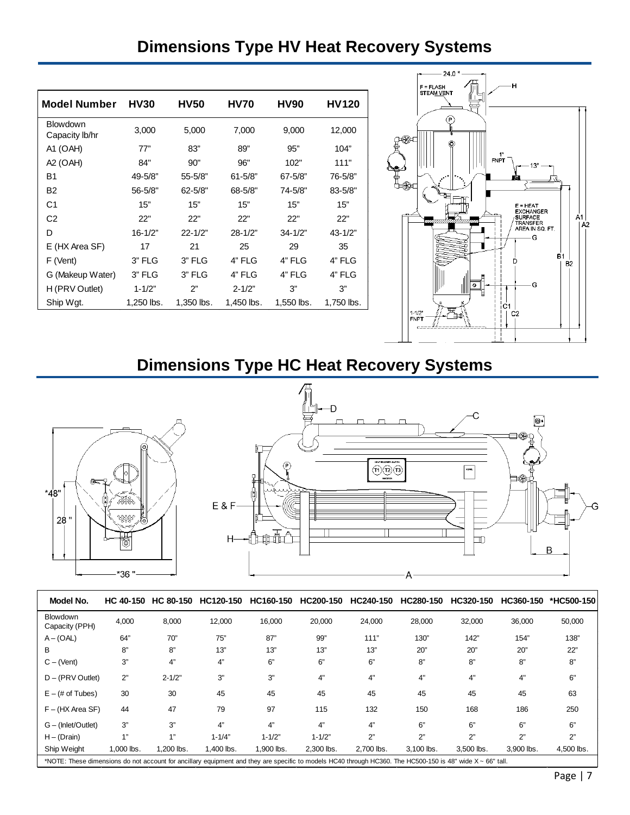# **Dimensions Type HV Heat Recovery Systems**

| Model Number               | <b>HV30</b> | <b>HV50</b> | <b>HV70</b> | <b>HV90</b> | HV120       |
|----------------------------|-------------|-------------|-------------|-------------|-------------|
| Blowdown<br>Capacity lb/hr | 3,000       | 5,000       | 7,000       | 9,000       | 12,000      |
| A1 (OAH)                   | 77"         | 83"         | 89"         | 95"         | 104"        |
| A2 (OAH)                   | 84"         | 90"         | 96"         | 102"        | 111"        |
| B1                         | 49-5/8"     | 55-5/8"     | $61 - 5/8"$ | $67 - 5/8"$ | 76-5/8"     |
| B <sub>2</sub>             | 56-5/8"     | $62 - 5/8"$ | 68-5/8"     | 74-5/8"     | $83 - 5/8"$ |
| C1                         | 15"         | 15"         | 15"         | 15"         | 15"         |
| C <sub>2</sub>             | 22"         | 22"         | 22"         | 22"         | 22"         |
| D                          | $16 - 1/2"$ | $22 - 1/2"$ | $28 - 1/2"$ | $34 - 1/2"$ | $43 - 1/2"$ |
| E (HX Area SF)             | 17          | 21          | 25          | 29          | 35          |
| F (Vent)                   | 3" FLG      | 3" FLG      | 4" FLG      | 4" FLG      | 4" FLG      |
| G (Makeup Water)           | $3"$ FLG    | 3" FLG      | 4" FLG      | 4" FLG      | 4" FLG      |
| H (PRV Outlet)             | $1 - 1/2"$  | 2"          | $2 - 1/2"$  | 3"          | 3"          |
| Ship Wqt.                  | 1,250 lbs.  | 1,350 lbs.  | 1,450 lbs.  | 1,550 lbs.  | 1,750 lbs.  |



# **Dimensions Type HC Heat Recovery Systems**



| Model No.                                                                                                                                                  | <b>HC 40-150</b> | <b>HC 80-150</b> | HC120-150  | HC160-150  | HC200-150  | HC240-150  | HC280-150  | HC320-150  | HC360-150  | *HC500-150 |
|------------------------------------------------------------------------------------------------------------------------------------------------------------|------------------|------------------|------------|------------|------------|------------|------------|------------|------------|------------|
| <b>Blowdown</b><br>Capacity (PPH)                                                                                                                          | 4,000            | 8,000            | 12,000     | 16,000     | 20,000     | 24,000     | 28,000     | 32,000     | 36,000     | 50,000     |
| $A - (OAL)$                                                                                                                                                | 64"              | 70"              | 75"        | 87"        | 99"        | 111"       | 130"       | 142"       | 154"       | 138"       |
| В                                                                                                                                                          | 8"               | 8"               | 13"        | 13"        | 13"        | 13"        | 20"        | 20"        | 20"        | 22"        |
| $C - (Vent)$                                                                                                                                               | 3"               | 4"               | 4"         | 6"         | 6"         | 6"         | 8"         | 8"         | 8"         | 8"         |
| $D - (PRV Outlet)$                                                                                                                                         | 2"               | $2 - 1/2"$       | 3"         | 3"         | 4"         | 4"         | 4"         | 4"         | 4"         | 6"         |
| $E - (# of Tubes)$                                                                                                                                         | 30               | 30               | 45         | 45         | 45         | 45         | 45         | 45         | 45         | 63         |
| $F - (HX Area SF)$                                                                                                                                         | 44               | 47               | 79         | 97         | 115        | 132        | 150        | 168        | 186        | 250        |
| $G - (Inlet/Outlet)$                                                                                                                                       | 3"               | 3"               | 4"         | 4"         | 4"         | 4"         | 6"         | 6"         | 6"         | 6"         |
| $H - (Drain)$                                                                                                                                              | 4"               | 411              | $1 - 1/4"$ | $1 - 1/2"$ | $1 - 1/2"$ | 2"         | 2"         | 2"         | 2"         | 2"         |
| Ship Weight                                                                                                                                                | 1.000 lbs.       | 1.200 lbs.       | 1.400 lbs. | 1.900 lbs. | 2.300 lbs. | 2.700 lbs. | 3.100 lbs. | 3.500 lbs. | 3.900 lbs. | 4,500 lbs. |
| *NOTE: These dimensions do not account for ancillary equipment and they are specific to models HC40 through HC360. The HC500-150 is 48" wide X ~ 66" tall. |                  |                  |            |            |            |            |            |            |            |            |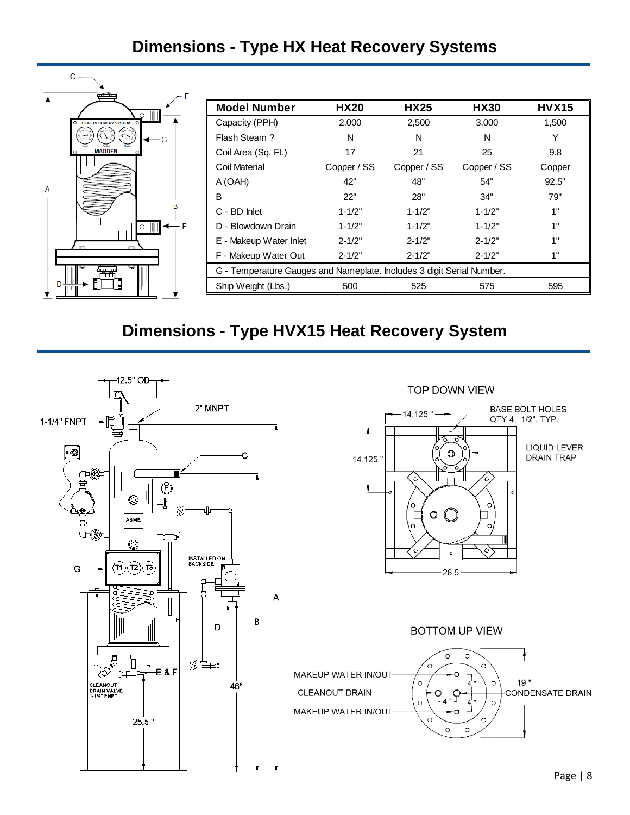### **Dimensions - Type HX Heat Recovery Systems**

|                        | <b>Model Number</b>                                                   | <b>HX20</b> | <b>HX25</b> | <b>HX30</b> | <b>HVX15</b> |  |  |
|------------------------|-----------------------------------------------------------------------|-------------|-------------|-------------|--------------|--|--|
| HEAT RECOVERY SYSTEM O | Capacity (PPH)                                                        | 2,000       | 2,500       | 3,000       | 1,500        |  |  |
| - G                    | Flash Steam?                                                          | N           | N           | N           | Υ            |  |  |
| <b>MADDEN</b>          | Coil Area (Sq. Ft.)                                                   | 17          | 21          | 25          | 9.8          |  |  |
|                        | Coil Material                                                         | Copper / SS | Copper / SS | Copper / SS | Copper       |  |  |
|                        | A (OAH)                                                               | 42"         | 48"         | 54"         | 92.5"        |  |  |
| А                      | В                                                                     | 22"         | 28"         | 34"         | 79"          |  |  |
|                        | C - BD Inlet                                                          | $1 - 1/2"$  | $1 - 1/2"$  | $1 - 1/2"$  | 1"           |  |  |
|                        | D - Blowdown Drain                                                    | $1 - 1/2"$  | $1 - 1/2"$  | $1 - 1/2"$  | 1"           |  |  |
|                        | E - Makeup Water Inlet                                                | $2 - 1/2"$  | $2 - 1/2"$  | $2 - 1/2"$  | 1"           |  |  |
|                        | F - Makeup Water Out                                                  | $2 - 1/2"$  | $2 - 1/2"$  | $2 - 1/2"$  | 1"           |  |  |
|                        | G - Temperature Gauges and Nameplate. Includes 3 digit Serial Number. |             |             |             |              |  |  |
| ר ∤ (<br>$D -$         | Ship Weight (Lbs.)                                                    | 500         | 525         | 575         | 595          |  |  |
|                        |                                                                       |             |             |             |              |  |  |

## **Dimensions - Type HVX15 Heat Recovery System**